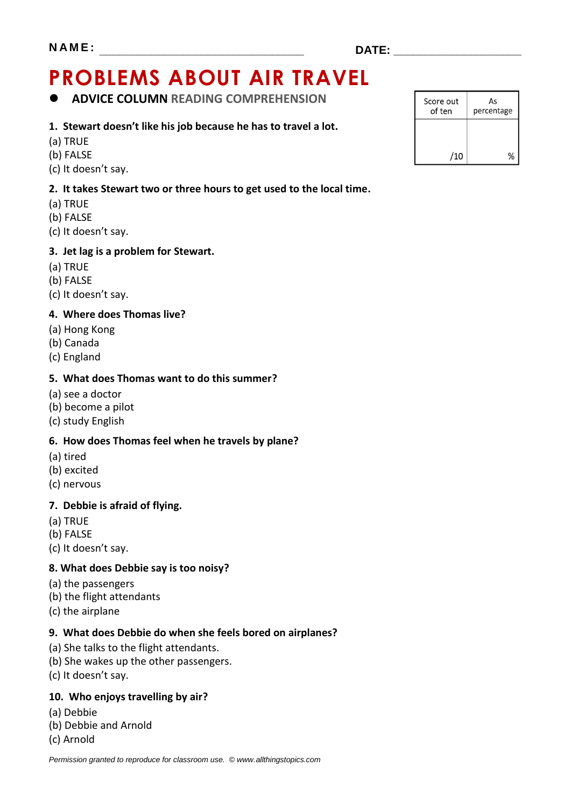# **PROBLEMS ABOUT AIR TRAVEL**

**ADVICE COLUMN READING COMPREHENSION**

#### **1. Stewart doesn't like his job because he has to travel a lot.**

- (a) TRUE
- (b) FALSE
- (c) It doesn't say.

#### **2. It takes Stewart two or three hours to get used to the local time.**

- (a) TRUE
- (b) FALSE
- (c) It doesn't say.

#### **3. Jet lag is a problem for Stewart.**

- (a) TRUE
- (b) FALSE
- (c) It doesn't say.

#### **4. Where does Thomas live?**

- (a) Hong Kong
- (b) Canada
- (c) England

#### **5. What does Thomas want to do this summer?**

- (a) see a doctor
- (b) become a pilot
- (c) study English

#### **6. How does Thomas feel when he travels by plane?**

- (a) tired
- (b) excited
- (c) nervous

#### **7. Debbie is afraid of flying.**

- (a) TRUE
- (b) FALSE
- (c) It doesn't say.

#### **8. What does Debbie say is too noisy?**

- (a) the passengers
- (b) the flight attendants
- (c) the airplane

#### **9. What does Debbie do when she feels bored on airplanes?**

- (a) She talks to the flight attendants.
- (b) She wakes up the other passengers.
- (c) It doesn't say.

#### **10. Who enjoys travelling by air?**

- (a) Debbie
- (b) Debbie and Arnold
- (c) Arnold

| Score out<br>of ten | As<br>percentage |
|---------------------|------------------|
|                     |                  |
| /10                 |                  |